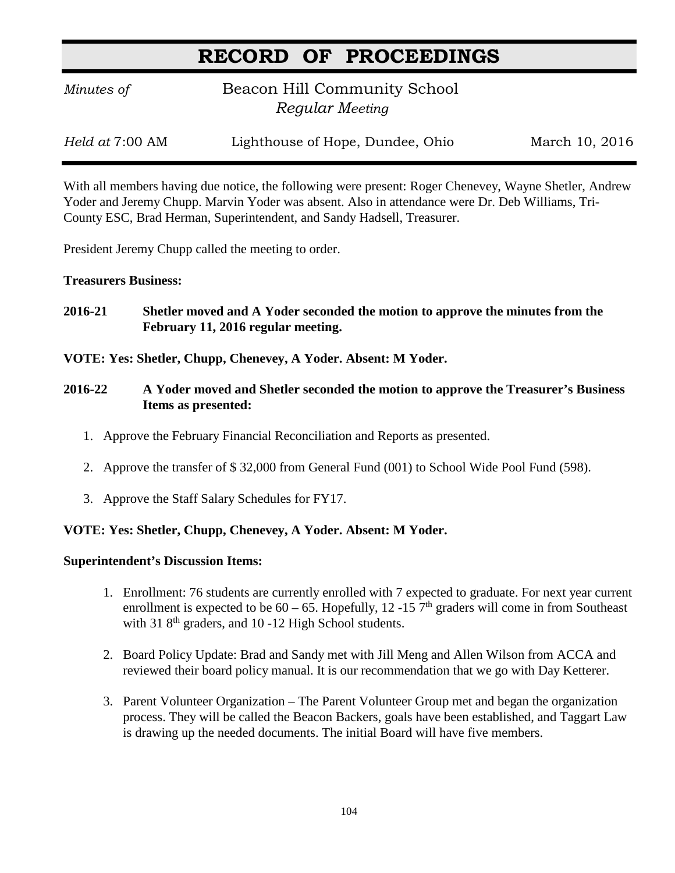# **RECORD OF PROCEEDINGS**

*Minutes of* **Beacon Hill Community School**  *Regular Meeting*

*Held at* 7:00 AM Lighthouse of Hope, Dundee, Ohio March 10, 2016

With all members having due notice, the following were present: Roger Chenevey, Wayne Shetler, Andrew Yoder and Jeremy Chupp. Marvin Yoder was absent. Also in attendance were Dr. Deb Williams, Tri-County ESC, Brad Herman, Superintendent, and Sandy Hadsell, Treasurer.

President Jeremy Chupp called the meeting to order.

### **Treasurers Business:**

- **2016-21 Shetler moved and A Yoder seconded the motion to approve the minutes from the February 11, 2016 regular meeting.**
- **VOTE: Yes: Shetler, Chupp, Chenevey, A Yoder. Absent: M Yoder.**
- **2016-22 A Yoder moved and Shetler seconded the motion to approve the Treasurer's Business Items as presented:**
	- 1. Approve the February Financial Reconciliation and Reports as presented.
	- 2. Approve the transfer of \$ 32,000 from General Fund (001) to School Wide Pool Fund (598).
	- 3. Approve the Staff Salary Schedules for FY17.

### **VOTE: Yes: Shetler, Chupp, Chenevey, A Yoder. Absent: M Yoder.**

### **Superintendent's Discussion Items:**

- 1. Enrollment: 76 students are currently enrolled with 7 expected to graduate. For next year current enrollment is expected to be  $60 - 65$ . Hopefully, 12 -15 7<sup>th</sup> graders will come in from Southeast with 31  $8<sup>th</sup>$  graders, and 10 -12 High School students.
- 2. Board Policy Update: Brad and Sandy met with Jill Meng and Allen Wilson from ACCA and reviewed their board policy manual. It is our recommendation that we go with Day Ketterer.
- 3. Parent Volunteer Organization The Parent Volunteer Group met and began the organization process. They will be called the Beacon Backers, goals have been established, and Taggart Law is drawing up the needed documents. The initial Board will have five members.